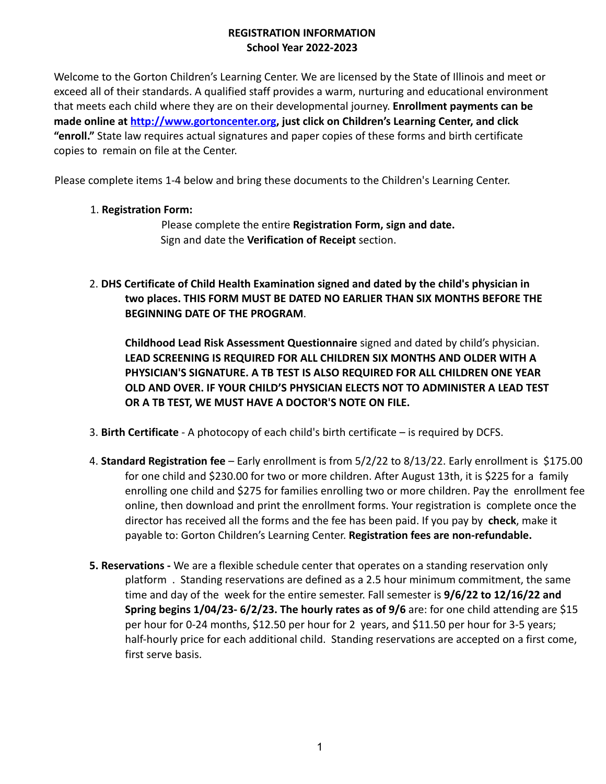#### **REGISTRATION INFORMATION School Year 2022-2023**

Welcome to the Gorton Children's Learning Center. We are licensed by the State of Illinois and meet or exceed all of their standards. A qualified staff provides a warm, nurturing and educational environment that meets each child where they are on their developmental journey. **Enrollment payments can be made online at http://www.gortoncenter.org, just click on Children's Learning Center, and click "enroll."** State law requires actual signatures and paper copies of these forms and birth certificate copies to remain on file at the Center.

Please complete items 1-4 below and bring these documents to the Children's Learning Center.

## 1. **Registration Form:**

Please complete the entire **Registration Form, sign and date.** Sign and date the **Verification of Receipt** section.

2. **DHS Certificate of Child Health Examination signed and dated by the child's physician in two places. THIS FORM MUST BE DATED NO EARLIER THAN SIX MONTHS BEFORE THE BEGINNING DATE OF THE PROGRAM**.

**Childhood Lead Risk Assessment Questionnaire** signed and dated by child's physician. **LEAD SCREENING IS REQUIRED FOR ALL CHILDREN SIX MONTHS AND OLDER WITH A PHYSICIAN'S SIGNATURE. A TB TEST IS ALSO REQUIRED FOR ALL CHILDREN ONE YEAR OLD AND OVER. IF YOUR CHILD'S PHYSICIAN ELECTS NOT TO ADMINISTER A LEAD TEST OR A TB TEST, WE MUST HAVE A DOCTOR'S NOTE ON FILE.**

- 3. **Birth Certificate** A photocopy of each child's birth certificate is required by DCFS.
- 4. **Standard Registration fee** Early enrollment is from 5/2/22 to 8/13/22. Early enrollment is \$175.00 for one child and \$230.00 for two or more children. After August 13th, it is \$225 for a family enrolling one child and \$275 for families enrolling two or more children. Pay the enrollment fee online, then download and print the enrollment forms. Your registration is complete once the director has received all the forms and the fee has been paid. If you pay by **check**, make it payable to: Gorton Children's Learning Center. **Registration fees are non-refundable.**
- **5. Reservations -** We are a flexible schedule center that operates on a standing reservation only platform . Standing reservations are defined as a 2.5 hour minimum commitment, the same time and day of the week for the entire semester. Fall semester is **9/6/22 to 12/16/22 and Spring begins 1/04/23- 6/2/23. The hourly rates as of 9/6** are: for one child attending are \$15 per hour for 0-24 months, \$12.50 per hour for 2 years, and \$11.50 per hour for 3-5 years; half-hourly price for each additional child. Standing reservations are accepted on a first come, first serve basis.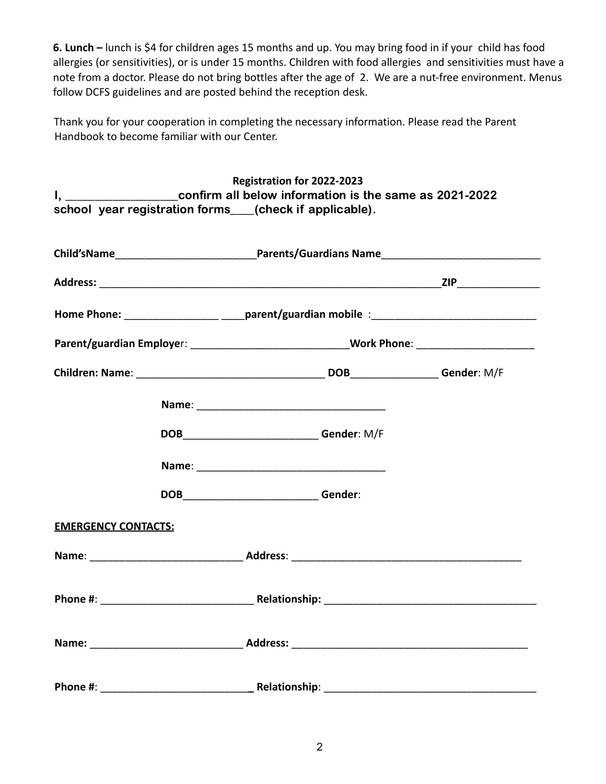**6. Lunch –** lunch is \$4 for children ages 15 months and up. You may bring food in if your child has food allergies (or sensitivities), or is under 15 months. Children with food allergies and sensitivities must have a note from a doctor. Please do not bring bottles after the age of 2. We are a nut-free environment. Menus follow DCFS guidelines and are posted behind the reception desk.

Thank you for your cooperation in completing the necessary information. Please read the Parent Handbook to become familiar with our Center.

|                            |  | Registration for 2022-2023                                                                                                                                                                                                     |  |  |
|----------------------------|--|--------------------------------------------------------------------------------------------------------------------------------------------------------------------------------------------------------------------------------|--|--|
|                            |  | I, _______________________confirm all below information is the same as 2021-2022                                                                                                                                               |  |  |
|                            |  | school year registration forms___(check if applicable).                                                                                                                                                                        |  |  |
|                            |  |                                                                                                                                                                                                                                |  |  |
|                            |  |                                                                                                                                                                                                                                |  |  |
|                            |  |                                                                                                                                                                                                                                |  |  |
|                            |  |                                                                                                                                                                                                                                |  |  |
|                            |  | Home Phone: ______________________________parent/guardian mobile :__________________________________                                                                                                                           |  |  |
|                            |  | Parent/guardian Employer: ________________________________Work Phone: ______________________________                                                                                                                           |  |  |
|                            |  |                                                                                                                                                                                                                                |  |  |
|                            |  |                                                                                                                                                                                                                                |  |  |
|                            |  | DOB____________________________Gender: M/F                                                                                                                                                                                     |  |  |
|                            |  |                                                                                                                                                                                                                                |  |  |
|                            |  |                                                                                                                                                                                                                                |  |  |
|                            |  | DOB______________________________Gender:                                                                                                                                                                                       |  |  |
|                            |  |                                                                                                                                                                                                                                |  |  |
| <b>EMERGENCY CONTACTS:</b> |  |                                                                                                                                                                                                                                |  |  |
|                            |  |                                                                                                                                                                                                                                |  |  |
|                            |  |                                                                                                                                                                                                                                |  |  |
|                            |  | Phone #: example and a set of Relationship: the set of the set of the set of the set of the set of the set of the set of the set of the set of the set of the set of the set of the set of the set of the set of the set of th |  |  |
|                            |  |                                                                                                                                                                                                                                |  |  |
|                            |  |                                                                                                                                                                                                                                |  |  |
|                            |  |                                                                                                                                                                                                                                |  |  |
| Phone #:                   |  | Relationship: _____________                                                                                                                                                                                                    |  |  |
|                            |  |                                                                                                                                                                                                                                |  |  |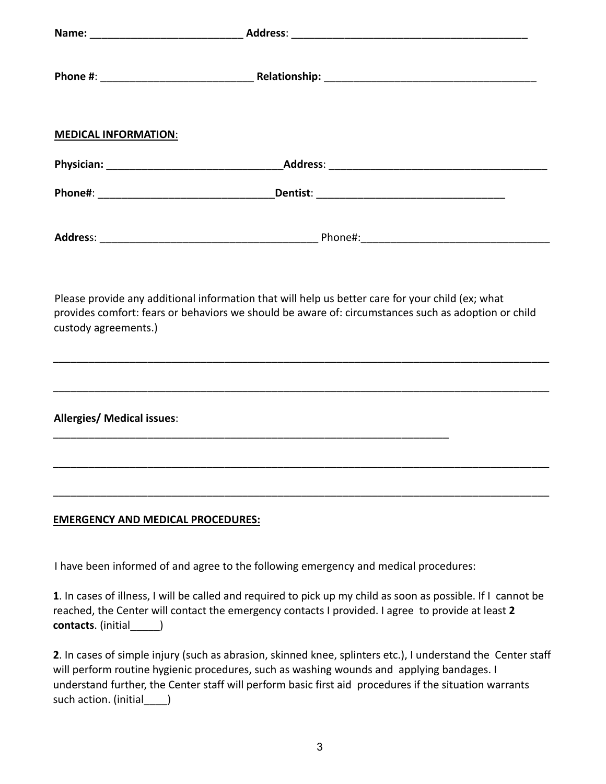| <b>MEDICAL INFORMATION:</b>              |                                                                                                                                                                                                         |  |
|------------------------------------------|---------------------------------------------------------------------------------------------------------------------------------------------------------------------------------------------------------|--|
|                                          |                                                                                                                                                                                                         |  |
|                                          |                                                                                                                                                                                                         |  |
|                                          |                                                                                                                                                                                                         |  |
| custody agreements.)                     | Please provide any additional information that will help us better care for your child (ex; what<br>provides comfort: fears or behaviors we should be aware of: circumstances such as adoption or child |  |
| <b>Allergies/ Medical issues:</b>        | <u> 1989 - Johann Stoff, deutscher Stoffen und der Stoffen und der Stoffen und der Stoffen und der Stoffen und de</u>                                                                                   |  |
|                                          |                                                                                                                                                                                                         |  |
| <b>EMERGENCY AND MEDICAL PROCEDURES:</b> |                                                                                                                                                                                                         |  |
|                                          | I have been informed of and agree to the following emergency and medical procedures:                                                                                                                    |  |

**1**. In cases of illness, I will be called and required to pick up my child as soon as possible. If I cannot be reached, the Center will contact the emergency contacts I provided. I agree to provide at least **2 contacts**. (initial\_\_\_\_\_)

**2**. In cases of simple injury (such as abrasion, skinned knee, splinters etc.), I understand the Center staff will perform routine hygienic procedures, such as washing wounds and applying bandages. I understand further, the Center staff will perform basic first aid procedures if the situation warrants such action. (initial\_\_\_\_\_)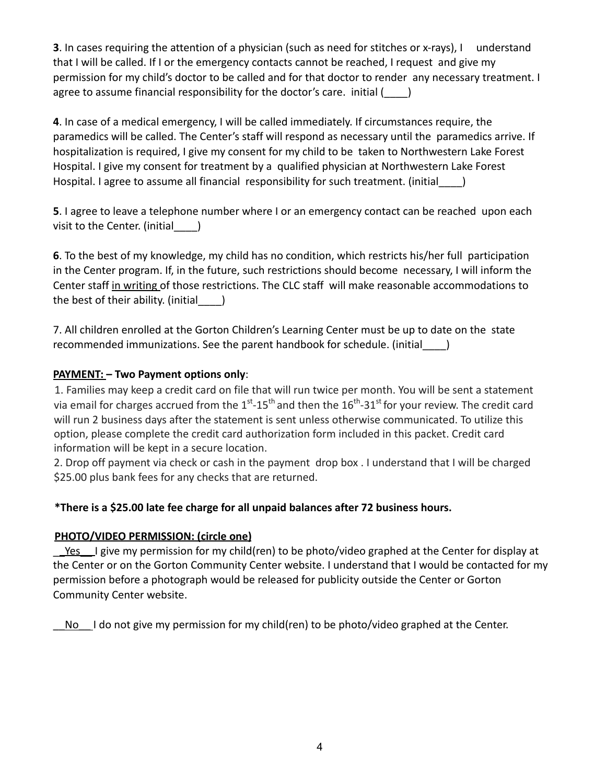**3**. In cases requiring the attention of a physician (such as need for stitches or x-rays), I understand that I will be called. If I or the emergency contacts cannot be reached, I request and give my permission for my child's doctor to be called and for that doctor to render any necessary treatment. I agree to assume financial responsibility for the doctor's care. initial ()

**4**. In case of a medical emergency, I will be called immediately. If circumstances require, the paramedics will be called. The Center's staff will respond as necessary until the paramedics arrive. If hospitalization is required, I give my consent for my child to be taken to Northwestern Lake Forest Hospital. I give my consent for treatment by a qualified physician at Northwestern Lake Forest Hospital. I agree to assume all financial responsibility for such treatment. (initial )

**5**. I agree to leave a telephone number where I or an emergency contact can be reached upon each visit to the Center. (initial )

**6**. To the best of my knowledge, my child has no condition, which restricts his/her full participation in the Center program. If, in the future, such restrictions should become necessary, I will inform the Center staff in writing of those restrictions. The CLC staff will make reasonable accommodations to the best of their ability. (initial  $\qquad$  )

7. All children enrolled at the Gorton Children's Learning Center must be up to date on the state recommended immunizations. See the parent handbook for schedule. (initial\_\_\_\_)

## **PAYMENT: – Two Payment options only**:

1. Families may keep a credit card on file that will run twice per month. You will be sent a statement via email for charges accrued from the  $1^{st}$ -15<sup>th</sup> and then the  $16^{th}$ -31<sup>st</sup> for your review. The credit card will run 2 business days after the statement is sent unless otherwise communicated. To utilize this option, please complete the credit card authorization form included in this packet. Credit card information will be kept in a secure location.

2. Drop off payment via check or cash in the payment drop box . I understand that I will be charged \$25.00 plus bank fees for any checks that are returned.

# **\*There is a \$25.00 late fee charge for all unpaid balances after 72 business hours.**

#### **PHOTO/VIDEO PERMISSION: (circle one)**

Yes I give my permission for my child(ren) to be photo/video graphed at the Center for display at the Center or on the Gorton Community Center website. I understand that I would be contacted for my permission before a photograph would be released for publicity outside the Center or Gorton Community Center website.

No I do not give my permission for my child(ren) to be photo/video graphed at the Center.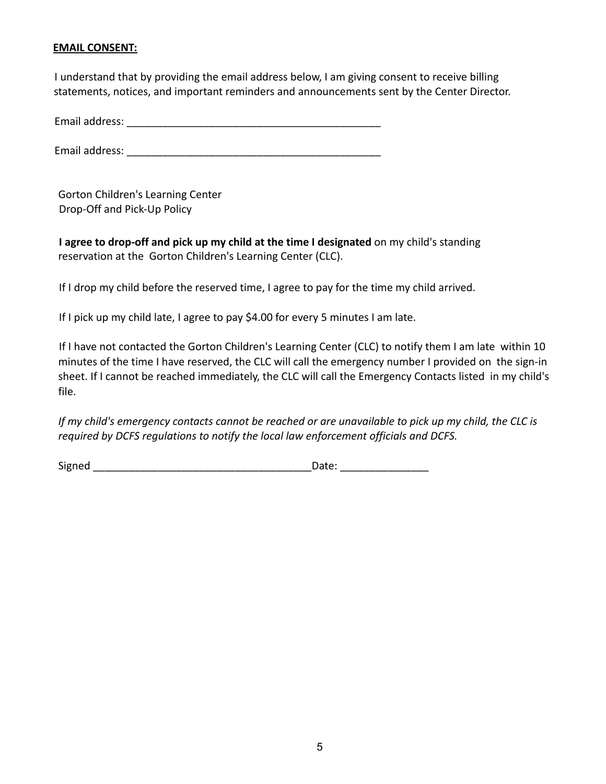#### **EMAIL CONSENT:**

I understand that by providing the email address below, I am giving consent to receive billing statements, notices, and important reminders and announcements sent by the Center Director.

Email address: **Email address:** 

Email address: \_\_\_\_\_\_\_\_\_\_\_\_\_\_\_\_\_\_\_\_\_\_\_\_\_\_\_\_\_\_\_\_\_\_\_\_\_\_\_\_\_\_\_

Gorton Children's Learning Center Drop-Off and Pick-Up Policy

**I agree to drop-off and pick up my child at the time I designated** on my child's standing reservation at the Gorton Children's Learning Center (CLC).

If I drop my child before the reserved time, I agree to pay for the time my child arrived.

If I pick up my child late, I agree to pay \$4.00 for every 5 minutes I am late.

If I have not contacted the Gorton Children's Learning Center (CLC) to notify them I am late within 10 minutes of the time I have reserved, the CLC will call the emergency number I provided on the sign-in sheet. If I cannot be reached immediately, the CLC will call the Emergency Contacts listed in my child's file.

If my child's emergency contacts cannot be reached or are unavailable to pick up my child, the CLC is *required by DCFS regulations to notify the local law enforcement officials and DCFS.*

Signed \_\_\_\_\_\_\_\_\_\_\_\_\_\_\_\_\_\_\_\_\_\_\_\_\_\_\_\_\_\_\_\_\_\_\_\_\_Date: \_\_\_\_\_\_\_\_\_\_\_\_\_\_\_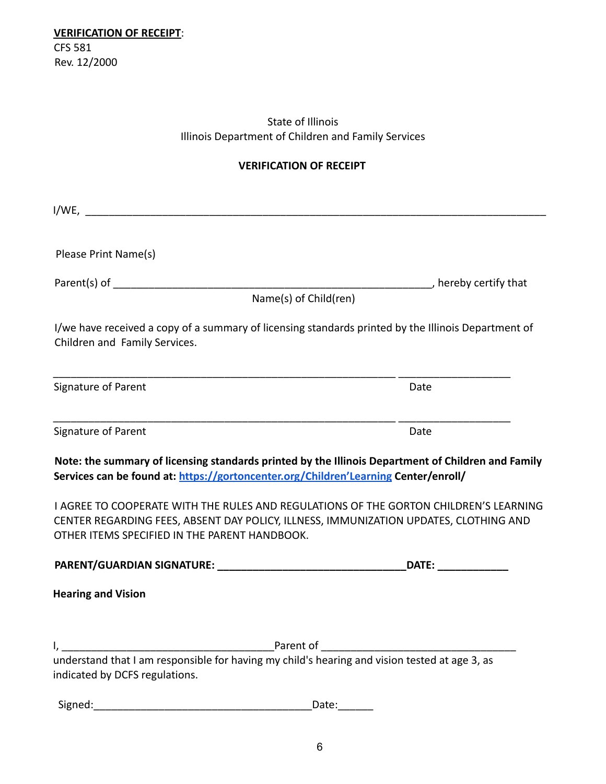# State of Illinois Illinois Department of Children and Family Services

# **VERIFICATION OF RECEIPT**

| Please Print Name(s)                                                                                                                                                                                                            |                                                                                                                                                                                                                                |
|---------------------------------------------------------------------------------------------------------------------------------------------------------------------------------------------------------------------------------|--------------------------------------------------------------------------------------------------------------------------------------------------------------------------------------------------------------------------------|
| Parent(s) of $\sqrt{\frac{1}{2}$                                                                                                                                                                                                | hereby certify that                                                                                                                                                                                                            |
| Name(s) of Child(ren)                                                                                                                                                                                                           |                                                                                                                                                                                                                                |
| I/we have received a copy of a summary of licensing standards printed by the Illinois Department of<br>Children and Family Services.                                                                                            |                                                                                                                                                                                                                                |
| Signature of Parent                                                                                                                                                                                                             | Date                                                                                                                                                                                                                           |
| Signature of Parent                                                                                                                                                                                                             | Date                                                                                                                                                                                                                           |
| Note: the summary of licensing standards printed by the Illinois Department of Children and Family<br>Services can be found at: https://gortoncenter.org/Children'Learning Center/enroll/                                       |                                                                                                                                                                                                                                |
| I AGREE TO COOPERATE WITH THE RULES AND REGULATIONS OF THE GORTON CHILDREN'S LEARNING<br>CENTER REGARDING FEES, ABSENT DAY POLICY, ILLNESS, IMMUNIZATION UPDATES, CLOTHING AND<br>OTHER ITEMS SPECIFIED IN THE PARENT HANDBOOK. |                                                                                                                                                                                                                                |
|                                                                                                                                                                                                                                 | DATE: the contract of the contract of the contract of the contract of the contract of the contract of the contract of the contract of the contract of the contract of the contract of the contract of the contract of the cont |
| <b>Hearing and Vision</b>                                                                                                                                                                                                       |                                                                                                                                                                                                                                |
| <b>Example 2 Parent of</b>                                                                                                                                                                                                      |                                                                                                                                                                                                                                |
| understand that I am responsible for having my child's hearing and vision tested at age 3, as<br>indicated by DCFS regulations.                                                                                                 |                                                                                                                                                                                                                                |
| Signed:                                                                                                                                                                                                                         | Date:                                                                                                                                                                                                                          |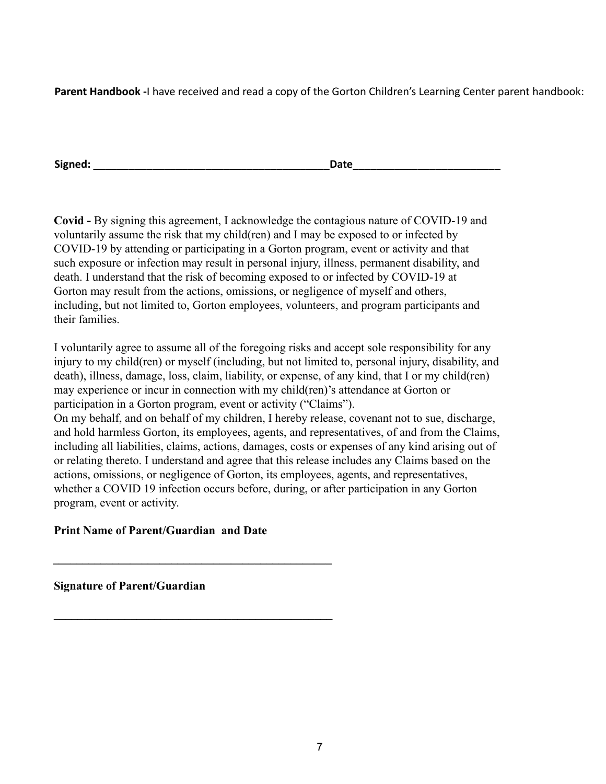**Parent Handbook -**I have received and read a copy of the Gorton Children's Learning Center parent handbook:

**Signed: Date** 

**Covid -** By signing this agreement, I acknowledge the contagious nature of COVID-19 and voluntarily assume the risk that my child(ren) and I may be exposed to or infected by COVID-19 by attending or participating in a Gorton program, event or activity and that such exposure or infection may result in personal injury, illness, permanent disability, and death. I understand that the risk of becoming exposed to or infected by COVID-19 at Gorton may result from the actions, omissions, or negligence of myself and others, including, but not limited to, Gorton employees, volunteers, and program participants and their families.

I voluntarily agree to assume all of the foregoing risks and accept sole responsibility for any injury to my child(ren) or myself (including, but not limited to, personal injury, disability, and death), illness, damage, loss, claim, liability, or expense, of any kind, that I or my child(ren) may experience or incur in connection with my child(ren)'s attendance at Gorton or participation in a Gorton program, event or activity ("Claims").

On my behalf, and on behalf of my children, I hereby release, covenant not to sue, discharge, and hold harmless Gorton, its employees, agents, and representatives, of and from the Claims, including all liabilities, claims, actions, damages, costs or expenses of any kind arising out of or relating thereto. I understand and agree that this release includes any Claims based on the actions, omissions, or negligence of Gorton, its employees, agents, and representatives, whether a COVID 19 infection occurs before, during, or after participation in any Gorton program, event or activity.

# **Print Name of Parent/Guardian and Date**

**\_\_\_\_\_\_\_\_\_\_\_\_\_\_\_\_\_\_\_\_\_\_\_\_\_\_\_\_\_\_\_\_\_\_\_\_\_\_\_\_\_\_\_\_\_\_\_**

**\_\_\_\_\_\_\_\_\_\_\_\_\_\_\_\_\_\_\_\_\_\_\_\_\_\_\_\_\_\_\_\_\_\_\_\_\_\_\_\_\_\_\_\_\_\_\_**

**Signature of Parent/Guardian**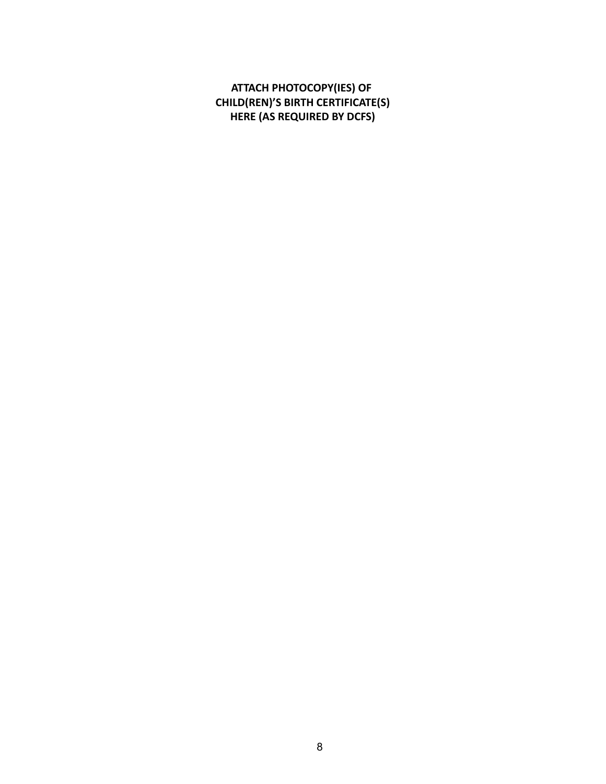**ATTACH PHOTOCOPY(IES) OF CHILD(REN)'S BIRTH CERTIFICATE(S) HERE (AS REQUIRED BY DCFS)**